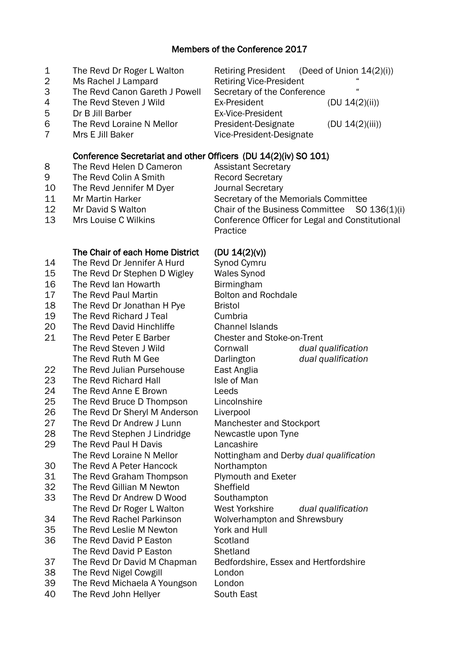## Members of the Conference 2017

- 
- 
- 3 The Revd Canon Gareth J Powell
- 
- Dr B Jill Barber Ex-Vice-President
- 
- 7 Mrs E Jill Baker Vice-President-Designate

1 The Revd Dr Roger L Walton Retiring President (Deed of Union 14(2)(i)) <sup>2</sup> Ms Rachel J Lampard **Retiring Vice-President** <sup>"</sup><br>3 The Revd Canon Gareth J Powell Secretary of the Conference " 4 The Revd Steven J Wild Ex-President (DU 14(2)(ii)) The Revd Loraine N Mellor President-Designate (DU 14(2)(iii))

## Conference Secretariat and other Officers (DU 14(2)(iv) SO 101)

8 The Revd Helen D Cameron Assistant Secretary 9 The Revd Colin A Smith Record Secretary 10 The Revd Jennifer M Dyer Journal Secretary 11 Mr Martin Harker Secretary of the Memorials Committee 12 Mr David S Walton Chair of the Business Committee SO 136(1)(i) Mrs Louise C Wilkins Conference Officer for Legal and Constitutional Practice

### The Chair of each Home District (DU 14(2)(v))

| 14 | The Revd Dr Jennifer A Hurd   | Synod Cymru                                 |  |
|----|-------------------------------|---------------------------------------------|--|
| 15 | The Revd Dr Stephen D Wigley  | <b>Wales Synod</b>                          |  |
| 16 | The Revd Ian Howarth          | <b>Birmingham</b>                           |  |
| 17 | The Revd Paul Martin          | <b>Bolton and Rochdale</b>                  |  |
| 18 | The Revd Dr Jonathan H Pye    | <b>Bristol</b>                              |  |
| 19 | The Revd Richard J Teal       | Cumbria                                     |  |
| 20 | The Revd David Hinchliffe     | <b>Channel Islands</b>                      |  |
| 21 | The Revd Peter E Barber       | <b>Chester and Stoke-on-Trent</b>           |  |
|    | The Revd Steven J Wild        | Cornwall<br>dual qualification              |  |
|    | The Revd Ruth M Gee           | Darlington<br>dual qualification            |  |
| 22 | The Revd Julian Pursehouse    | East Anglia                                 |  |
| 23 | The Revd Richard Hall         | Isle of Man                                 |  |
| 24 | The Revd Anne E Brown         | Leeds                                       |  |
| 25 | The Revd Bruce D Thompson     | Lincolnshire                                |  |
| 26 | The Revd Dr Sheryl M Anderson | Liverpool                                   |  |
| 27 | The Revd Dr Andrew J Lunn     | Manchester and Stockport                    |  |
| 28 | The Revd Stephen J Lindridge  | Newcastle upon Tyne                         |  |
| 29 | The Revd Paul H Davis         | Lancashire                                  |  |
|    | The Revd Loraine N Mellor     | Nottingham and Derby dual qualification     |  |
| 30 | The Revd A Peter Hancock      | Northampton                                 |  |
| 31 | The Revd Graham Thompson      | <b>Plymouth and Exeter</b>                  |  |
| 32 | The Revd Gillian M Newton     | Sheffield                                   |  |
| 33 | The Revd Dr Andrew D Wood     | Southampton                                 |  |
|    | The Revd Dr Roger L Walton    | <b>West Yorkshire</b><br>dual qualification |  |
| 34 | The Revd Rachel Parkinson     | <b>Wolverhampton and Shrewsbury</b>         |  |
| 35 | The Revd Leslie M Newton      | York and Hull                               |  |
| 36 | The Revd David P Easton       | Scotland                                    |  |
|    | The Revd David P Easton       | Shetland                                    |  |
| 37 | The Revd Dr David M Chapman   | Bedfordshire, Essex and Hertfordshire       |  |
| 38 | The Revd Nigel Cowgill        | London                                      |  |
| 39 | The Revd Michaela A Youngson  | London                                      |  |
| 40 | The Revd John Hellyer         | South East                                  |  |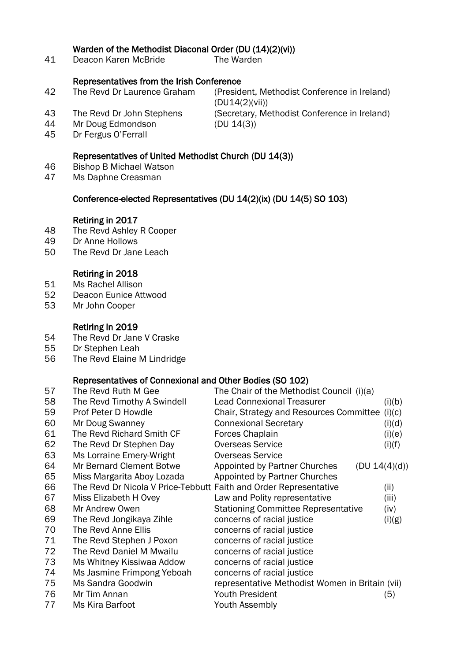### Warden of the Methodist Diaconal Order (DU (14)(2)(vi))

41 Deacon Karen McBride The Warden

### Representatives from the Irish Conference

- 42 The Revd Dr Laurence Graham (President, Methodist Conference in Ireland)
- 

(DU14(2)(vii)) 43 The Revd Dr John Stephens (Secretary, Methodist Conference in Ireland)

44 Mr Doug Edmondson (DU 14(3)) 45 Dr Fergus O'Ferrall

### Representatives of United Methodist Church (DU 14(3))

- 46 Bishop B Michael Watson
- 47 Ms Daphne Creasman

#### Conference-elected Representatives (DU 14(2)(ix) (DU 14(5) SO 103)

### Retiring in 2017

- 48 The Revd Ashley R Cooper
- 49 Dr Anne Hollows
- 50 The Revd Dr Jane Leach

### Retiring in 2018

- 51 Ms Rachel Allison
- 52 Deacon Eunice Attwood
- 53 Mr John Cooper

### Retiring in 2019

- 54 The Revd Dr Jane V Craske
- 55 Dr Stephen Leah
- 56 The Revd Elaine M Lindridge

### Representatives of Connexional and Other Bodies (SO 102)

| 57 | The Revd Ruth M Gee                                               | The Chair of the Methodist Council (i)(a)       |        |
|----|-------------------------------------------------------------------|-------------------------------------------------|--------|
| 58 | The Revd Timothy A Swindell                                       | <b>Lead Connexional Treasurer</b>               | (i)(b) |
| 59 | Prof Peter D Howdle                                               | Chair, Strategy and Resources Committee         | (i)(c) |
| 60 | Mr Doug Swanney                                                   | <b>Connexional Secretary</b>                    | (i)(d) |
| 61 | The Revd Richard Smith CF                                         | Forces Chaplain                                 | (i)(e) |
| 62 | The Revd Dr Stephen Day                                           | <b>Overseas Service</b>                         | (i)(f) |
| 63 | Ms Lorraine Emery-Wright                                          | <b>Overseas Service</b>                         |        |
| 64 | Mr Bernard Clement Botwe                                          | Appointed by Partner Churches<br>(DU 14(4)(d))  |        |
| 65 | Miss Margarita Aboy Lozada                                        | Appointed by Partner Churches                   |        |
| 66 | The Revd Dr Nicola V Price-Tebbutt Faith and Order Representative |                                                 | (ii)   |
| 67 | Miss Elizabeth H Ovey                                             | Law and Polity representative                   | (iii)  |
| 68 | Mr Andrew Owen                                                    | <b>Stationing Committee Representative</b>      | (iv)   |
| 69 | The Revd Jongikaya Zihle                                          | concerns of racial justice                      | (i)(g) |
| 70 | The Revd Anne Ellis                                               | concerns of racial justice                      |        |
| 71 | The Revd Stephen J Poxon                                          | concerns of racial justice                      |        |
| 72 | The Revd Daniel M Mwailu                                          | concerns of racial justice                      |        |
| 73 | Ms Whitney Kissiwaa Addow                                         | concerns of racial justice                      |        |
| 74 | Ms Jasmine Frimpong Yeboah                                        | concerns of racial justice                      |        |
| 75 | Ms Sandra Goodwin                                                 | representative Methodist Women in Britain (vii) |        |
| 76 | Mr Tim Annan                                                      | <b>Youth President</b>                          | (5)    |
| 77 | Ms Kira Barfoot                                                   | <b>Youth Assembly</b>                           |        |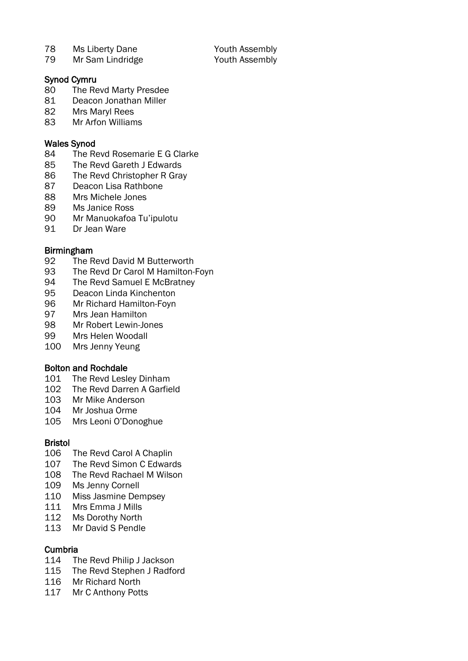78 Ms Liberty Dane **Youth Assembly** 

79 Mr Sam Lindridge Youth Assembly

### Synod Cymru

- The Revd Marty Presdee
- Deacon Jonathan Miller
- Mrs Maryl Rees
- Mr Arfon Williams

### Wales Synod

- The Revd Rosemarie E G Clarke
- The Revd Gareth J Edwards
- The Revd Christopher R Gray
- Deacon Lisa Rathbone
- Mrs Michele Jones
- Ms Janice Ross
- Mr Manuokafoa Tu'ipulotu
- Dr Jean Ware

### Birmingham

- The Revd David M Butterworth
- 93 The Revd Dr Carol M Hamilton-Foyn
- 94 The Revd Samuel E McBratney
- Deacon Linda Kinchenton
- Mr Richard Hamilton-Foyn
- Mrs Jean Hamilton
- Mr Robert Lewin-Jones
- Mrs Helen Woodall
- Mrs Jenny Yeung

## Bolton and Rochdale

- The Revd Lesley Dinham
- The Revd Darren A Garfield
- Mr Mike Anderson
- Mr Joshua Orme
- Mrs Leoni O'Donoghue

## Bristol

- The Revd Carol A Chaplin
- The Revd Simon C Edwards
- The Revd Rachael M Wilson
- Ms Jenny Cornell
- 110 Miss Jasmine Dempsey<br>111 Mrs Emma J Mills
- Mrs Emma J Mills
- Ms Dorothy North
- Mr David S Pendle

## **Cumbria**

- The Revd Philip J Jackson
- The Revd Stephen J Radford
- Mr Richard North
- Mr C Anthony Potts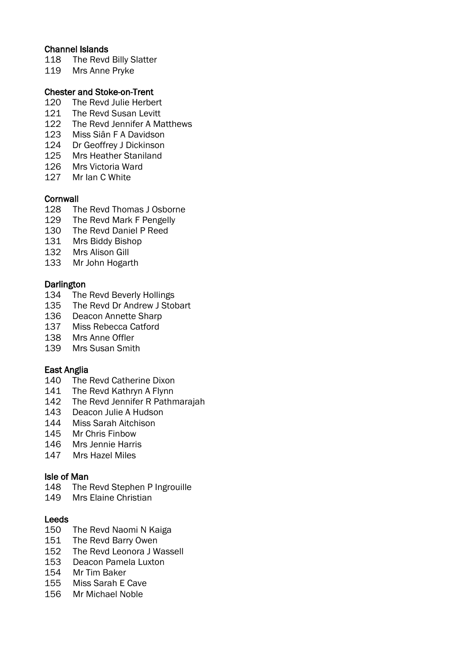### Channel Islands

- The Revd Billy Slatter
- Mrs Anne Pryke

## Chester and Stoke-on-Trent

- The Revd Julie Herbert
- 121 The Revd Susan Levitt
- The Revd Jennifer A Matthews
- 123 Miss Siân F A Davidson<br>124 Dr Geoffrey J Dickinson
- Dr Geoffrey J Dickinson
- Mrs Heather Staniland
- Mrs Victoria Ward
- Mr Ian C White

### **Cornwall**

- The Revd Thomas J Osborne
- The Revd Mark F Pengelly
- The Revd Daniel P Reed
- Mrs Biddy Bishop
- Mrs Alison Gill
- Mr John Hogarth

## Darlington

- The Revd Beverly Hollings
- The Revd Dr Andrew J Stobart
- Deacon Annette Sharp
- Miss Rebecca Catford
- Mrs Anne Offler
- Mrs Susan Smith

## East Anglia

- The Revd Catherine Dixon
- The Revd Kathryn A Flynn
- The Revd Jennifer R Pathmarajah
- Deacon Julie A Hudson
- Miss Sarah Aitchison
- Mr Chris Finbow
- Mrs Jennie Harris
- Mrs Hazel Miles

### Isle of Man

- The Revd Stephen P Ingrouille
- Mrs Elaine Christian

## Leeds

- The Revd Naomi N Kaiga
- The Revd Barry Owen
- The Revd Leonora J Wassell
- Deacon Pamela Luxton
- Mr Tim Baker
- Miss Sarah E Cave
- Mr Michael Noble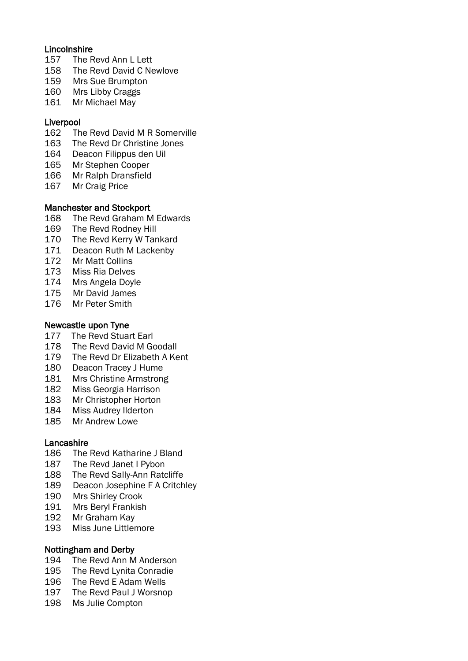## **Lincolnshire**

- 157 The Revd Ann L Lett
- The Revd David C Newlove
- Mrs Sue Brumpton
- Mrs Libby Craggs
- Mr Michael May

# Liverpool

- The Revd David M R Somerville
- The Revd Dr Christine Jones
- Deacon Filippus den Uil
- Mr Stephen Cooper
- Mr Ralph Dransfield
- Mr Craig Price

## Manchester and Stockport

- The Revd Graham M Edwards
- The Revd Rodney Hill
- The Revd Kerry W Tankard
- Deacon Ruth M Lackenby
- Mr Matt Collins
- Miss Ria Delves
- Mrs Angela Doyle
- Mr David James
- Mr Peter Smith

# Newcastle upon Tyne

- 177 The Revd Stuart Earl
- The Revd David M Goodall
- The Revd Dr Elizabeth A Kent
- Deacon Tracey J Hume
- Mrs Christine Armstrong
- Miss Georgia Harrison
- Mr Christopher Horton
- Miss Audrey Ilderton
- Mr Andrew Lowe

# Lancashire

- The Revd Katharine J Bland
- The Revd Janet I Pybon
- The Revd Sally-Ann Ratcliffe
- Deacon Josephine F A Critchley
- Mrs Shirley Crook
- Mrs Beryl Frankish
- Mr Graham Kay
- Miss June Littlemore

## Nottingham and Derby

- The Revd Ann M Anderson
- The Revd Lynita Conradie
- The Revd E Adam Wells
- The Revd Paul J Worsnop
- Ms Julie Compton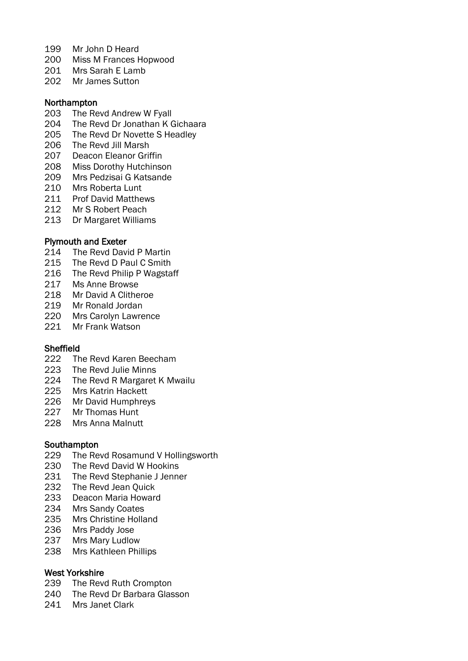- Mr John D Heard
- Miss M Frances Hopwood
- Mrs Sarah E Lamb
- Mr James Sutton

### Northampton

- The Revd Andrew W Fyall
- The Revd Dr Jonathan K Gichaara
- The Revd Dr Novette S Headley
- The Revd Jill Marsh
- Deacon Eleanor Griffin
- Miss Dorothy Hutchinson
- Mrs Pedzisai G Katsande
- Mrs Roberta Lunt
- Prof David Matthews
- Mr S Robert Peach
- Dr Margaret Williams

## Plymouth and Exeter

- The Revd David P Martin
- The Revd D Paul C Smith
- The Revd Philip P Wagstaff
- Ms Anne Browse
- Mr David A Clitheroe
- Mr Ronald Jordan
- Mrs Carolyn Lawrence
- Mr Frank Watson

## Sheffield

- The Revd Karen Beecham
- The Revd Julie Minns
- The Revd R Margaret K Mwailu
- Mrs Katrin Hackett
- Mr David Humphreys
- Mr Thomas Hunt
- Mrs Anna Malnutt

## **Southampton**

- The Revd Rosamund V Hollingsworth
- The Revd David W Hookins
- The Revd Stephanie J Jenner
- The Revd Jean Quick
- Deacon Maria Howard
- Mrs Sandy Coates
- Mrs Christine Holland
- Mrs Paddy Jose
- Mrs Mary Ludlow
- Mrs Kathleen Phillips

## West Yorkshire

- The Revd Ruth Crompton
- The Revd Dr Barbara Glasson
- Mrs Janet Clark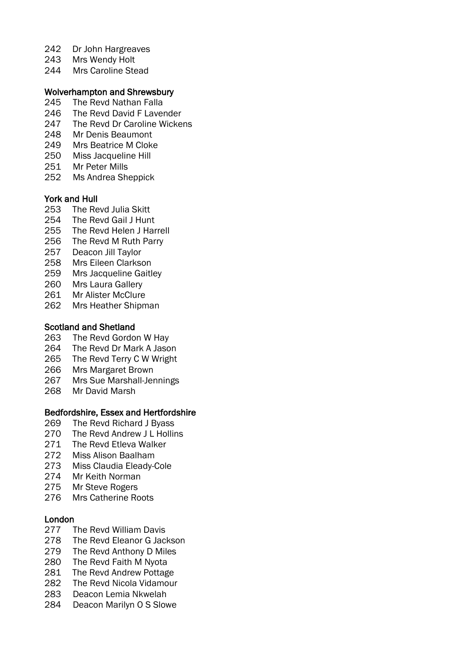- Dr John Hargreaves
- Mrs Wendy Holt
- Mrs Caroline Stead

## Wolverhampton and Shrewsbury

- The Revd Nathan Falla
- The Revd David F Lavender
- The Revd Dr Caroline Wickens
- Mr Denis Beaumont
- Mrs Beatrice M Cloke
- Miss Jacqueline Hill
- Mr Peter Mills
- Ms Andrea Sheppick

## York and Hull

- The Revd Julia Skitt
- The Revd Gail J Hunt
- The Revd Helen J Harrell
- The Revd M Ruth Parry
- Deacon Jill Taylor
- Mrs Eileen Clarkson
- Mrs Jacqueline Gaitley
- Mrs Laura Gallery
- Mr Alister McClure
- Mrs Heather Shipman

## Scotland and Shetland

- The Revd Gordon W Hay
- The Revd Dr Mark A Jason
- The Revd Terry C W Wright
- Mrs Margaret Brown
- Mrs Sue Marshall-Jennings
- Mr David Marsh

## Bedfordshire, Essex and Hertfordshire

- The Revd Richard J Byass
- The Revd Andrew J L Hollins
- The Revd Etleva Walker
- Miss Alison Baalham
- Miss Claudia Eleady-Cole
- Mr Keith Norman
- Mr Steve Rogers
- Mrs Catherine Roots

## London

- The Revd William Davis
- The Revd Eleanor G Jackson
- The Revd Anthony D Miles
- The Revd Faith M Nyota
- The Revd Andrew Pottage
- The Revd Nicola Vidamour
- Deacon Lemia Nkwelah
- Deacon Marilyn O S Slowe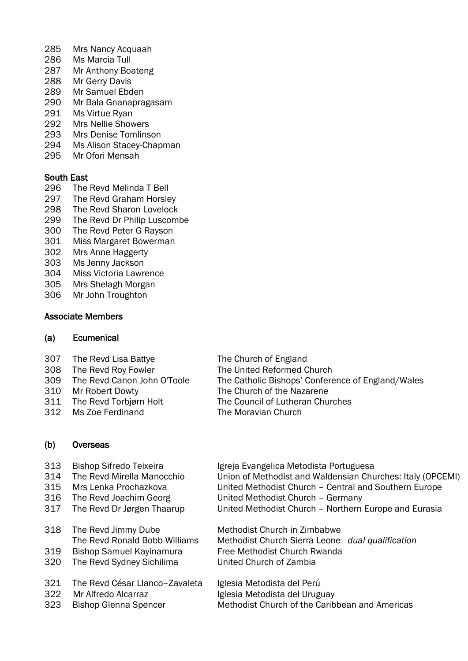- Mrs Nancy Acquaah
- Ms Marcia Tull
- Mr Anthony Boateng
- Mr Gerry Davis
- Mr Samuel Ebden
- Mr Bala Gnanapragasam
- Ms Virtue Ryan
- Mrs Nellie Showers
- Mrs Denise Tomlinson
- Ms Alison Stacey-Chapman
- Mr Ofori Mensah

## South East

- The Revd Melinda T Bell
- The Revd Graham Horsley
- The Revd Sharon Lovelock
- The Revd Dr Philip Luscombe
- The Revd Peter G Rayson
- Miss Margaret Bowerman
- Mrs Anne Haggerty
- Ms Jenny Jackson
- Miss Victoria Lawrence
- Mrs Shelagh Morgan
- Mr John Troughton

## Associate Members

## (a) Ecumenical

- The Revd Lisa Battye The Church of England
- 308 The Revd Roy Fowler The United Reformed Church
- The Revd Canon John O'Toole The Catholic Bishops' Conference of England/Wales
- Mr Robert Dowty The Church of the Nazarene
- 
- 

## (b) Overseas

- 311 The Revd Torbjørn Holt The Council of Lutheran Churches Ms Zoe Ferdinand The Moravian Church
- 313 Bishop Sifredo Teixeira **Igreja Evangelica Metodista Portuguesa**  The Revd Mirella Manocchio Union of Methodist and Waldensian Churches: Italy (OPCEMI) 315 Mrs Lenka Prochazkova United Methodist Church – Central and Southern Europe The Revd Joachim Georg United Methodist Church – Germany The Revd Dr Jørgen Thaarup United Methodist Church – Northern Europe and Eurasia The Revd Jimmy Dube Methodist Church in Zimbabwe The Revd Ronald Bobb-Williams Methodist Church Sierra Leone *dual qualification* Bishop Samuel Kayinamura Free Methodist Church Rwanda The Revd Sydney Sichilima United Church of Zambia The Revd César Llanco–Zavaleta Iglesia Metodista del Perú
	-
	-

322 Mr Alfredo Alcarraz Iglesia Metodista del Uruguay Bishop Glenna Spencer Methodist Church of the Caribbean and Americas